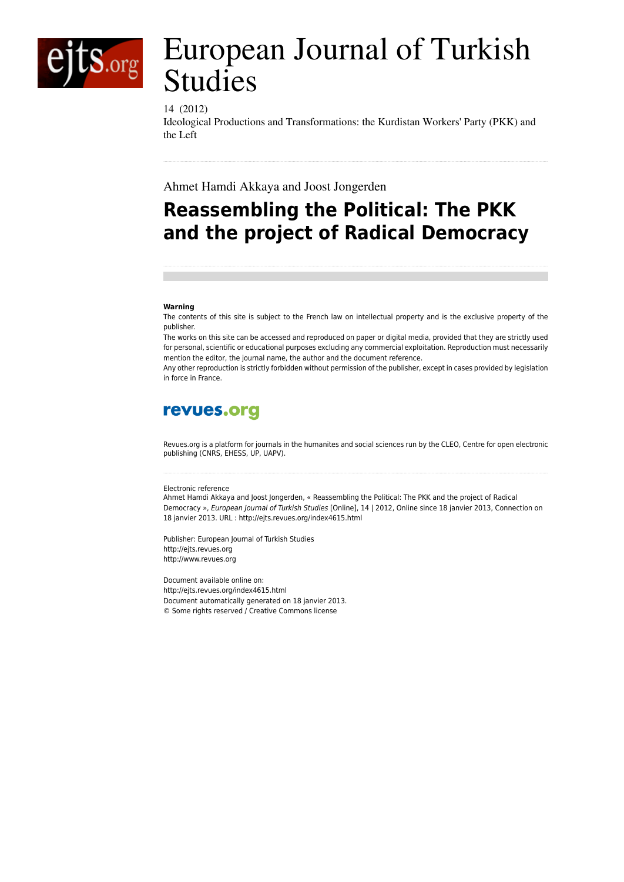

# European Journal of Turkish Studies

## 14 (2012)

Ideological Productions and Transformations: the Kurdistan Workers' Party (PKK) and the Left

Ahmet Hamdi Akkaya and Joost Jongerden

## **Reassembling the Political: The PKK and the project of Radical Democracy**

#### **Warning**

The contents of this site is subject to the French law on intellectual property and is the exclusive property of the publisher.

The works on this site can be accessed and reproduced on paper or digital media, provided that they are strictly used for personal, scientific or educational purposes excluding any commercial exploitation. Reproduction must necessarily mention the editor, the journal name, the author and the document reference.

Any other reproduction is strictly forbidden without permission of the publisher, except in cases provided by legislation in force in France.

## revues.org

Revues.org is a platform for journals in the humanites and social sciences run by the CLEO, Centre for open electronic publishing (CNRS, EHESS, UP, UAPV).

#### Electronic reference

Ahmet Hamdi Akkaya and Joost Jongerden, « Reassembling the Political: The PKK and the project of Radical Democracy », *European Journal of Turkish Studies* [Online], 14 | 2012, Online since 18 janvier 2013, Connection on 18 janvier 2013. URL : http://ejts.revues.org/index4615.html

Publisher: European Journal of Turkish Studies <http://ejts.revues.org> [http://www.revues.org](http://www.revues.org/)

Document available online on: <http://ejts.revues.org/index4615.html> Document automatically generated on 18 janvier 2013. © Some rights reserved / Creative Commons license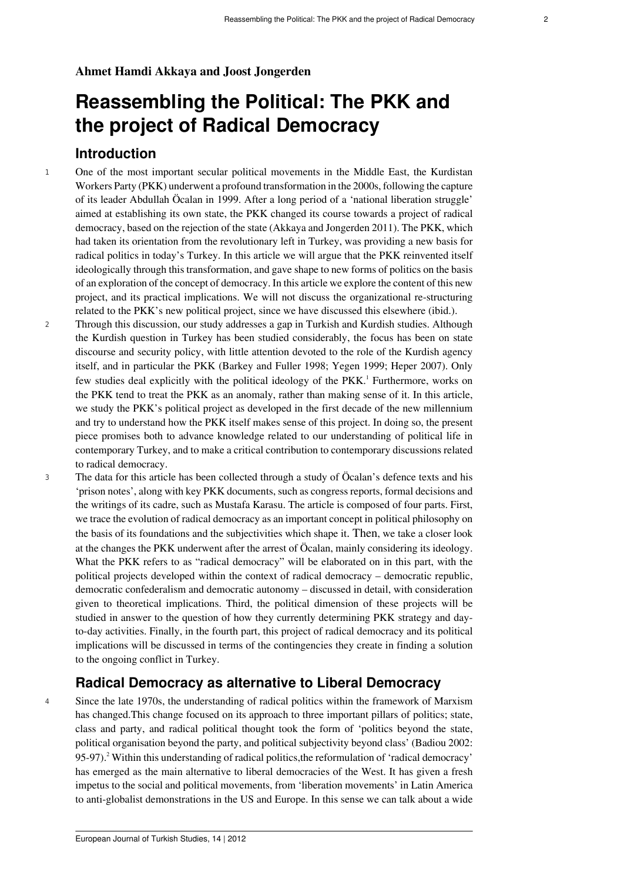## **Ahmet Hamdi Akkaya and Joost Jongerden**

## **Reassembling the Political: The PKK and the project of Radical Democracy**

## **Introduction**

- <sup>1</sup> One of the most important secular political movements in the Middle East, the Kurdistan Workers Party (PKK) underwent a profound transformation in the 2000s, following the capture of its leader Abdullah Öcalan in 1999. After a long period of a 'national liberation struggle' aimed at establishing its own state, the PKK changed its course towards a project of radical democracy, based on the rejection of the state (Akkaya and Jongerden 2011). The PKK, which had taken its orientation from the revolutionary left in Turkey, was providing a new basis for radical politics in today's Turkey. In this article we will argue that the PKK reinvented itself ideologically through this transformation, and gave shape to new forms of politics on the basis of an exploration of the concept of democracy. In this article we explore the content of this new project, and its practical implications. We will not discuss the organizational re-structuring related to the PKK's new political project, since we have discussed this elsewhere (ibid.).
- <span id="page-1-0"></span><sup>2</sup> Through this discussion, our study addresses a gap in Turkish and Kurdish studies. Although the Kurdish question in Turkey has been studied considerably, the focus has been on state discourse and security policy, with little attention devoted to the role of the Kurdish agency itself, and in particular the PKK (Barkey and Fuller 1998; Yegen 1999; Heper 2007). Only few studies deal explicitly with the political ideology of the PKK.<sup>[1](#page-13-0)</sup> Furthermore, works on the PKK tend to treat the PKK as an anomaly, rather than making sense of it. In this article, we study the PKK's political project as developed in the first decade of the new millennium and try to understand how the PKK itself makes sense of this project. In doing so, the present piece promises both to advance knowledge related to our understanding of political life in contemporary Turkey, and to make a critical contribution to contemporary discussions related to radical democracy.
- <sup>3</sup> The data for this article has been collected through a study of Öcalan's defence texts and his 'prison notes', along with key PKK documents, such as congress reports, formal decisions and the writings of its cadre, such as Mustafa Karasu. The article is composed of four parts. First, we trace the evolution of radical democracy as an important concept in political philosophy on the basis of its foundations and the subjectivities which shape it. Then, we take a closer look at the changes the PKK underwent after the arrest of Öcalan, mainly considering its ideology. What the PKK refers to as "radical democracy" will be elaborated on in this part, with the political projects developed within the context of radical democracy – democratic republic, democratic confederalism and democratic autonomy – discussed in detail, with consideration given to theoretical implications. Third, the political dimension of these projects will be studied in answer to the question of how they currently determining PKK strategy and dayto-day activities. Finally, in the fourth part, this project of radical democracy and its political implications will be discussed in terms of the contingencies they create in finding a solution to the ongoing conflict in Turkey.

## <span id="page-1-1"></span>**Radical Democracy as alternative to Liberal Democracy**

<sup>4</sup> Since the late 1970s, the understanding of radical politics within the framework of Marxism has changed.This change focused on its approach to three important pillars of politics; state, class and party, and radical political thought took the form of 'politics beyond the state, political organisation beyond the party, and political subjectivity beyond class' (Badiou 2002: 95-97).<sup>[2](#page-13-1)</sup> Within this understanding of radical politics, the reformulation of 'radical democracy' has emerged as the main alternative to liberal democracies of the West. It has given a fresh impetus to the social and political movements, from 'liberation movements' in Latin America to anti-globalist demonstrations in the US and Europe. In this sense we can talk about a wide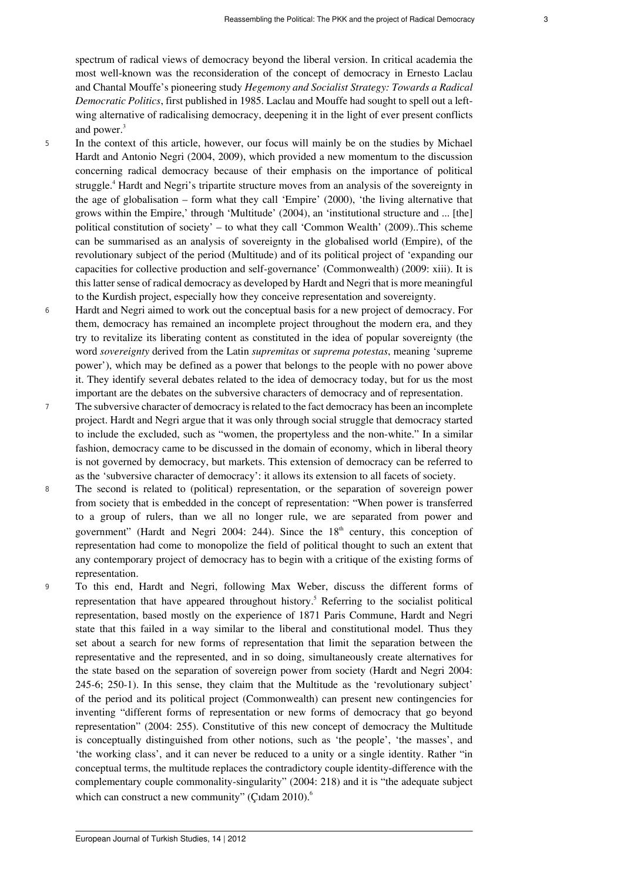<span id="page-2-0"></span>spectrum of radical views of democracy beyond the liberal version. In critical academia the most well-known was the reconsideration of the concept of democracy in Ernesto Laclau and Chantal Mouffe's pioneering study *Hegemony and Socialist Strategy: Towards a Radical Democratic Politics*, first published in 1985. Laclau and Mouffe had sought to spell out a leftwing alternative of radicalising democracy, deepening it in the light of ever present conflicts and power.<sup>[3](#page-13-2)</sup>

- <span id="page-2-1"></span><sup>5</sup> In the context of this article, however, our focus will mainly be on the studies by Michael Hardt and Antonio Negri (2004, 2009), which provided a new momentum to the discussion concerning radical democracy because of their emphasis on the importance of political struggle.<sup>[4](#page-13-3)</sup> Hardt and Negri's tripartite structure moves from an analysis of the sovereignty in the age of globalisation – form what they call 'Empire' (2000), 'the living alternative that grows within the Empire,' through 'Multitude' (2004), an 'institutional structure and ... [the] political constitution of society' – to what they call 'Common Wealth' (2009)..This scheme can be summarised as an analysis of sovereignty in the globalised world (Empire), of the revolutionary subject of the period (Multitude) and of its political project of 'expanding our capacities for collective production and self-governance' (Commonwealth) (2009: xiii). It is this latter sense of radical democracy as developed by Hardt and Negri that is more meaningful to the Kurdish project, especially how they conceive representation and sovereignty.
- <sup>6</sup> Hardt and Negri aimed to work out the conceptual basis for a new project of democracy. For them, democracy has remained an incomplete project throughout the modern era, and they try to revitalize its liberating content as constituted in the idea of popular sovereignty (the word *sovereignty* derived from the Latin *supremitas* or *suprema potestas*, meaning 'supreme power'), which may be defined as a power that belongs to the people with no power above it. They identify several debates related to the idea of democracy today, but for us the most important are the debates on the subversive characters of democracy and of representation.
- <sup>7</sup> The subversive character of democracy is related to the fact democracy has been an incomplete project. Hardt and Negri argue that it was only through social struggle that democracy started to include the excluded, such as "women, the propertyless and the non-white." In a similar fashion, democracy came to be discussed in the domain of economy, which in liberal theory is not governed by democracy, but markets. This extension of democracy can be referred to as the 'subversive character of democracy': it allows its extension to all facets of society.
- <sup>8</sup> The second is related to (political) representation, or the separation of sovereign power from society that is embedded in the concept of representation: "When power is transferred to a group of rulers, than we all no longer rule, we are separated from power and government" (Hardt and Negri 2004: 244). Since the  $18<sup>th</sup>$  century, this conception of representation had come to monopolize the field of political thought to such an extent that any contemporary project of democracy has to begin with a critique of the existing forms of representation.
- <span id="page-2-3"></span><span id="page-2-2"></span><sup>9</sup> To this end, Hardt and Negri, following Max Weber, discuss the different forms of representation that have appeared throughout history.<sup>[5](#page-13-4)</sup> Referring to the socialist political representation, based mostly on the experience of 1871 Paris Commune, Hardt and Negri state that this failed in a way similar to the liberal and constitutional model. Thus they set about a search for new forms of representation that limit the separation between the representative and the represented, and in so doing, simultaneously create alternatives for the state based on the separation of sovereign power from society (Hardt and Negri 2004: 245-6; 250-1). In this sense, they claim that the Multitude as the 'revolutionary subject' of the period and its political project (Commonwealth) can present new contingencies for inventing "different forms of representation or new forms of democracy that go beyond representation" (2004: 255). Constitutive of this new concept of democracy the Multitude is conceptually distinguished from other notions, such as 'the people', 'the masses', and 'the working class', and it can never be reduced to a unity or a single identity. Rather "in conceptual terms, the multitude replaces the contradictory couple identity-difference with the complementary couple commonality-singularity" (2004: 218) and it is "the adequate subject which can construct a new community" (Cidam 2010).<sup>[6](#page-13-5)</sup>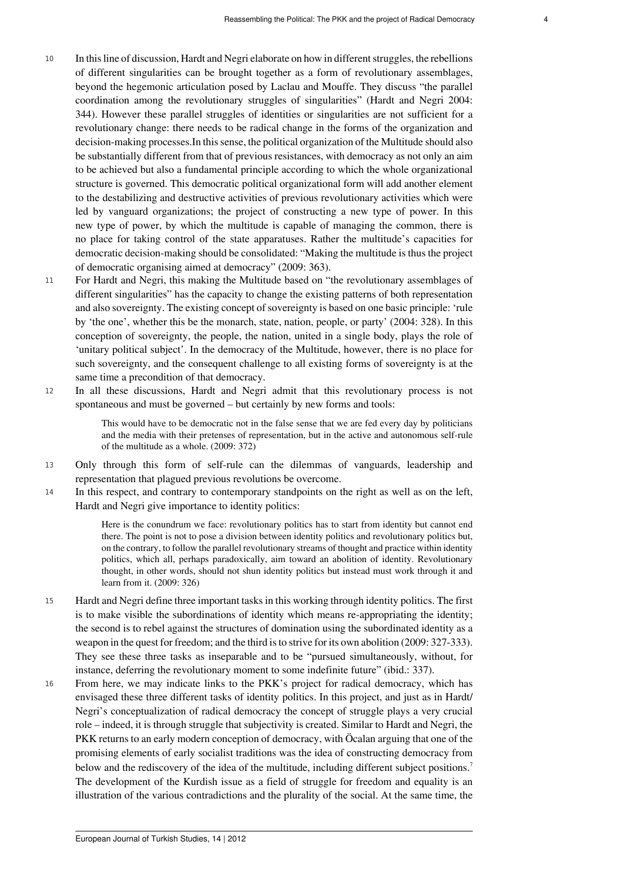- <sup>10</sup> In this line of discussion, Hardt and Negri elaborate on how in different struggles, the rebellions of different singularities can be brought together as a form of revolutionary assemblages, beyond the hegemonic articulation posed by Laclau and Mouffe. They discuss "the parallel coordination among the revolutionary struggles of singularities" (Hardt and Negri 2004: 344). However these parallel struggles of identities or singularities are not sufficient for a revolutionary change: there needs to be radical change in the forms of the organization and decision-making processes.In this sense, the political organization of the Multitude should also be substantially different from that of previous resistances, with democracy as not only an aim to be achieved but also a fundamental principle according to which the whole organizational structure is governed. This democratic political organizational form will add another element to the destabilizing and destructive activities of previous revolutionary activities which were led by vanguard organizations; the project of constructing a new type of power. In this new type of power, by which the multitude is capable of managing the common, there is no place for taking control of the state apparatuses. Rather the multitude's capacities for democratic decision-making should be consolidated: "Making the multitude is thus the project of democratic organising aimed at democracy" (2009: 363).
- <sup>11</sup> For Hardt and Negri, this making the Multitude based on "the revolutionary assemblages of different singularities" has the capacity to change the existing patterns of both representation and also sovereignty. The existing concept of sovereignty is based on one basic principle: 'rule by 'the one', whether this be the monarch, state, nation, people, or party' (2004: 328). In this conception of sovereignty, the people, the nation, united in a single body, plays the role of 'unitary political subject'. In the democracy of the Multitude, however, there is no place for such sovereignty, and the consequent challenge to all existing forms of sovereignty is at the same time a precondition of that democracy.
- <sup>12</sup> In all these discussions, Hardt and Negri admit that this revolutionary process is not spontaneous and must be governed – but certainly by new forms and tools:

This would have to be democratic not in the false sense that we are fed every day by politicians and the media with their pretenses of representation, but in the active and autonomous self-rule of the multitude as a whole. (2009: 372)

- <sup>13</sup> Only through this form of self-rule can the dilemmas of vanguards, leadership and representation that plagued previous revolutions be overcome.
- <sup>14</sup> In this respect, and contrary to contemporary standpoints on the right as well as on the left, Hardt and Negri give importance to identity politics:

Here is the conundrum we face: revolutionary politics has to start from identity but cannot end there. The point is not to pose a division between identity politics and revolutionary politics but, on the contrary, to follow the parallel revolutionary streams of thought and practice within identity politics, which all, perhaps paradoxically, aim toward an abolition of identity. Revolutionary thought, in other words, should not shun identity politics but instead must work through it and learn from it. (2009: 326)

- <sup>15</sup> Hardt and Negri define three important tasks in this working through identity politics. The first is to make visible the subordinations of identity which means re-appropriating the identity; the second is to rebel against the structures of domination using the subordinated identity as a weapon in the quest for freedom; and the third is to strive for its own abolition (2009: 327-333). They see these three tasks as inseparable and to be "pursued simultaneously, without, for instance, deferring the revolutionary moment to some indefinite future" (ibid.: 337).
- <span id="page-3-0"></span><sup>16</sup> From here, we may indicate links to the PKK's project for radical democracy, which has envisaged these three different tasks of identity politics. In this project, and just as in Hardt/ Negri's conceptualization of radical democracy the concept of struggle plays a very crucial role – indeed, it is through struggle that subjectivity is created. Similar to Hardt and Negri, the PKK returns to an early modern conception of democracy, with Öcalan arguing that one of the promising elements of early socialist traditions was the idea of constructing democracy from below and the rediscovery of the idea of the multitude, including different subject positions.<sup>[7](#page-13-6)</sup> The development of the Kurdish issue as a field of struggle for freedom and equality is an illustration of the various contradictions and the plurality of the social. At the same time, the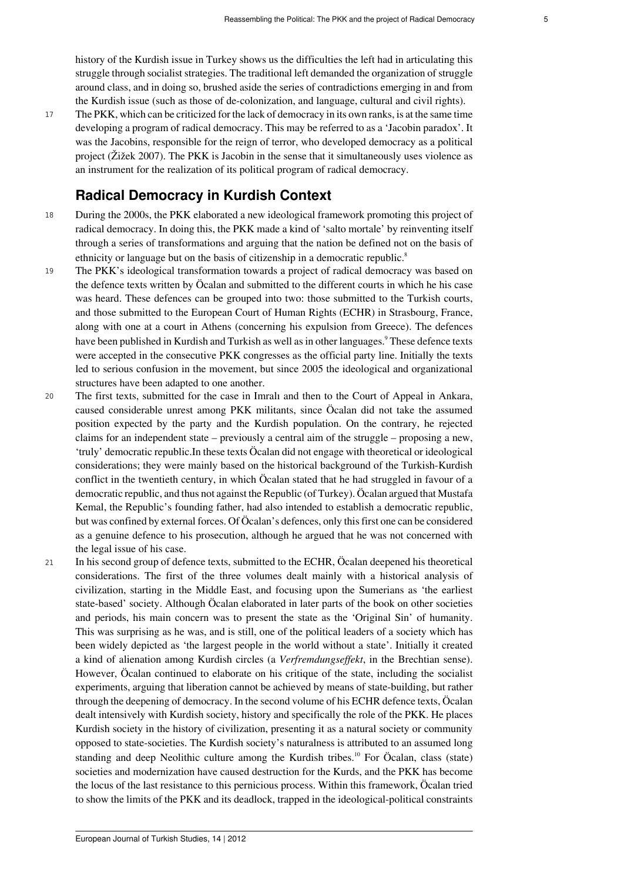history of the Kurdish issue in Turkey shows us the difficulties the left had in articulating this struggle through socialist strategies. The traditional left demanded the organization of struggle around class, and in doing so, brushed aside the series of contradictions emerging in and from the Kurdish issue (such as those of de-colonization, and language, cultural and civil rights).

<sup>17</sup> The PKK, which can be criticized for the lack of democracy in its own ranks, is at the same time developing a program of radical democracy. This may be referred to as a 'Jacobin paradox'. It was the Jacobins, responsible for the reign of terror, who developed democracy as a political project (Žižek 2007). The PKK is Jacobin in the sense that it simultaneously uses violence as an instrument for the realization of its political program of radical democracy.

## <span id="page-4-1"></span><span id="page-4-0"></span>**Radical Democracy in Kurdish Context**

- <sup>18</sup> During the 2000s, the PKK elaborated a new ideological framework promoting this project of radical democracy. In doing this, the PKK made a kind of 'salto mortale' by reinventing itself through a series of transformations and arguing that the nation be defined not on the basis of ethnicity or language but on the basis of citizenship in a democratic republic.<sup>[8](#page-13-7)</sup>
- <sup>19</sup> The PKK's ideological transformation towards a project of radical democracy was based on the defence texts written by Öcalan and submitted to the different courts in which he his case was heard. These defences can be grouped into two: those submitted to the Turkish courts, and those submitted to the European Court of Human Rights (ECHR) in Strasbourg, France, along with one at a court in Athens (concerning his expulsion from Greece). The defences have been published in Kurdish and Turkish as well as in other languages.<sup>[9](#page-13-8)</sup> These defence texts were accepted in the consecutive PKK congresses as the official party line. Initially the texts led to serious confusion in the movement, but since 2005 the ideological and organizational structures have been adapted to one another.
- <sup>20</sup> The first texts, submitted for the case in Imralı and then to the Court of Appeal in Ankara, caused considerable unrest among PKK militants, since Öcalan did not take the assumed position expected by the party and the Kurdish population. On the contrary, he rejected claims for an independent state – previously a central aim of the struggle – proposing a new, 'truly' democratic republic.In these texts Öcalan did not engage with theoretical or ideological considerations; they were mainly based on the historical background of the Turkish-Kurdish conflict in the twentieth century, in which Öcalan stated that he had struggled in favour of a democratic republic, and thus not against the Republic (of Turkey). Öcalan argued that Mustafa Kemal, the Republic's founding father, had also intended to establish a democratic republic, but was confined by external forces. Of Öcalan's defences, only this first one can be considered as a genuine defence to his prosecution, although he argued that he was not concerned with the legal issue of his case.
- <span id="page-4-2"></span><sup>21</sup> In his second group of defence texts, submitted to the ECHR, Öcalan deepened his theoretical considerations. The first of the three volumes dealt mainly with a historical analysis of civilization, starting in the Middle East, and focusing upon the Sumerians as 'the earliest state-based' society. Although Öcalan elaborated in later parts of the book on other societies and periods, his main concern was to present the state as the 'Original Sin' of humanity. This was surprising as he was, and is still, one of the political leaders of a society which has been widely depicted as 'the largest people in the world without a state'. Initially it created a kind of alienation among Kurdish circles (a *Verfremdungseffekt*, in the Brechtian sense). However, Öcalan continued to elaborate on his critique of the state, including the socialist experiments, arguing that liberation cannot be achieved by means of state-building, but rather through the deepening of democracy. In the second volume of his ECHR defence texts, Öcalan dealt intensively with Kurdish society, history and specifically the role of the PKK. He places Kurdish society in the history of civilization, presenting it as a natural society or community opposed to state-societies. The Kurdish society's naturalness is attributed to an assumed long standing and deep Neolithic culture among the Kurdish tribes.<sup>[10](#page-13-9)</sup> For Öcalan, class (state) societies and modernization have caused destruction for the Kurds, and the PKK has become the locus of the last resistance to this pernicious process. Within this framework, Öcalan tried to show the limits of the PKK and its deadlock, trapped in the ideological-political constraints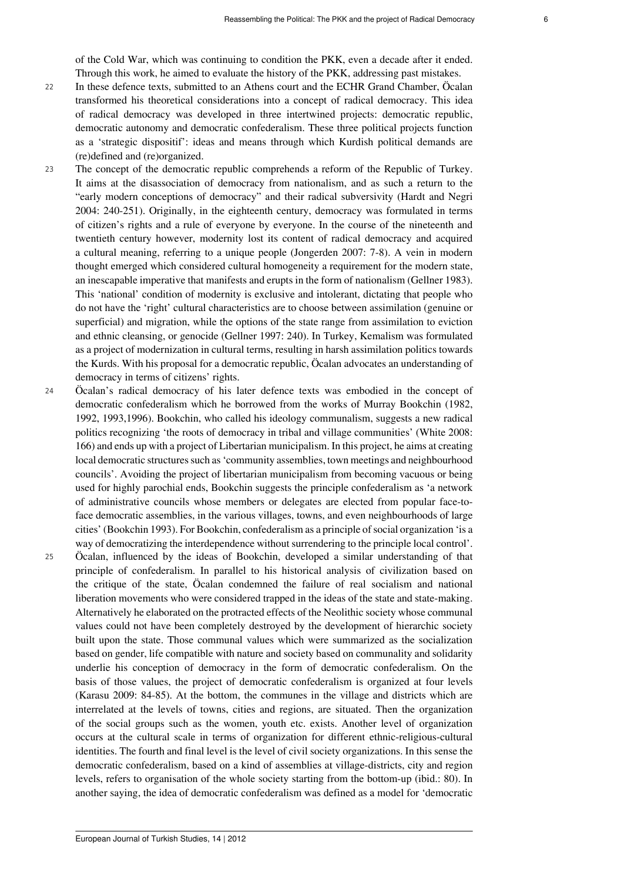of the Cold War, which was continuing to condition the PKK, even a decade after it ended. Through this work, he aimed to evaluate the history of the PKK, addressing past mistakes.

- <sup>22</sup> In these defence texts, submitted to an Athens court and the ECHR Grand Chamber, Öcalan transformed his theoretical considerations into a concept of radical democracy. This idea of radical democracy was developed in three intertwined projects: democratic republic, democratic autonomy and democratic confederalism. These three political projects function as a 'strategic dispositif': ideas and means through which Kurdish political demands are (re)defined and (re)organized.
- <sup>23</sup> The concept of the democratic republic comprehends a reform of the Republic of Turkey. It aims at the disassociation of democracy from nationalism, and as such a return to the "early modern conceptions of democracy" and their radical subversivity (Hardt and Negri 2004: 240-251). Originally, in the eighteenth century, democracy was formulated in terms of citizen's rights and a rule of everyone by everyone. In the course of the nineteenth and twentieth century however, modernity lost its content of radical democracy and acquired a cultural meaning, referring to a unique people (Jongerden 2007: 7-8). A vein in modern thought emerged which considered cultural homogeneity a requirement for the modern state, an inescapable imperative that manifests and erupts in the form of nationalism (Gellner 1983). This 'national' condition of modernity is exclusive and intolerant, dictating that people who do not have the 'right' cultural characteristics are to choose between assimilation (genuine or superficial) and migration, while the options of the state range from assimilation to eviction and ethnic cleansing, or genocide (Gellner 1997: 240). In Turkey, Kemalism was formulated as a project of modernization in cultural terms, resulting in harsh assimilation politics towards the Kurds. With his proposal for a democratic republic, Öcalan advocates an understanding of democracy in terms of citizens' rights.
- <sup>24</sup> Öcalan's radical democracy of his later defence texts was embodied in the concept of democratic confederalism which he borrowed from the works of Murray Bookchin (1982, 1992, 1993,1996). Bookchin, who called his ideology communalism, suggests a new radical politics recognizing 'the roots of democracy in tribal and village communities' (White 2008: 166) and ends up with a project of Libertarian municipalism. In this project, he aims at creating local democratic structures such as 'community assemblies, town meetings and neighbourhood councils'. Avoiding the project of libertarian municipalism from becoming vacuous or being used for highly parochial ends, Bookchin suggests the principle confederalism as 'a network of administrative councils whose members or delegates are elected from popular face-toface democratic assemblies, in the various villages, towns, and even neighbourhoods of large cities' (Bookchin 1993). For Bookchin, confederalism as a principle of social organization 'is a way of democratizing the interdependence without surrendering to the principle local control'. <sup>25</sup> Öcalan, influenced by the ideas of Bookchin, developed a similar understanding of that
	- principle of confederalism. In parallel to his historical analysis of civilization based on the critique of the state, Öcalan condemned the failure of real socialism and national liberation movements who were considered trapped in the ideas of the state and state-making. Alternatively he elaborated on the protracted effects of the Neolithic society whose communal values could not have been completely destroyed by the development of hierarchic society built upon the state. Those communal values which were summarized as the socialization based on gender, life compatible with nature and society based on communality and solidarity underlie his conception of democracy in the form of democratic confederalism. On the basis of those values, the project of democratic confederalism is organized at four levels (Karasu 2009: 84-85). At the bottom, the communes in the village and districts which are interrelated at the levels of towns, cities and regions, are situated. Then the organization of the social groups such as the women, youth etc. exists. Another level of organization occurs at the cultural scale in terms of organization for different ethnic-religious-cultural identities. The fourth and final level is the level of civil society organizations. In this sense the democratic confederalism, based on a kind of assemblies at village-districts, city and region levels, refers to organisation of the whole society starting from the bottom-up (ibid.: 80). In another saying, the idea of democratic confederalism was defined as a model for 'democratic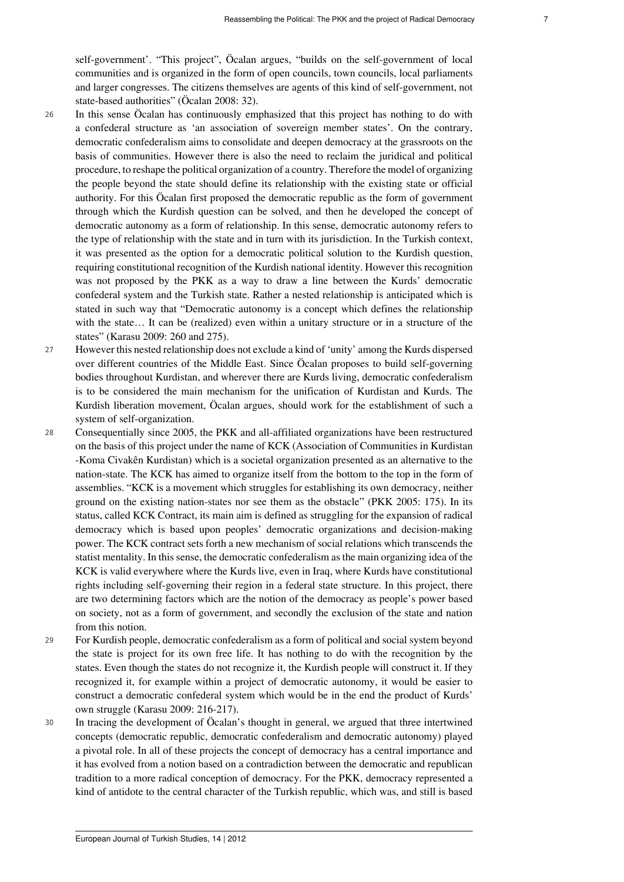self-government'. "This project", Öcalan argues, "builds on the self-government of local communities and is organized in the form of open councils, town councils, local parliaments and larger congresses. The citizens themselves are agents of this kind of self-government, not state-based authorities" (Öcalan 2008: 32).

- <sup>26</sup> In this sense Öcalan has continuously emphasized that this project has nothing to do with a confederal structure as 'an association of sovereign member states'. On the contrary, democratic confederalism aims to consolidate and deepen democracy at the grassroots on the basis of communities. However there is also the need to reclaim the juridical and political procedure, to reshape the political organization of a country. Therefore the model of organizing the people beyond the state should define its relationship with the existing state or official authority. For this Öcalan first proposed the democratic republic as the form of government through which the Kurdish question can be solved, and then he developed the concept of democratic autonomy as a form of relationship. In this sense, democratic autonomy refers to the type of relationship with the state and in turn with its jurisdiction. In the Turkish context, it was presented as the option for a democratic political solution to the Kurdish question, requiring constitutional recognition of the Kurdish national identity. However this recognition was not proposed by the PKK as a way to draw a line between the Kurds' democratic confederal system and the Turkish state. Rather a nested relationship is anticipated which is stated in such way that "Democratic autonomy is a concept which defines the relationship with the state… It can be (realized) even within a unitary structure or in a structure of the states" (Karasu 2009: 260 and 275).
- <sup>27</sup> However this nested relationship does not exclude a kind of 'unity' among the Kurds dispersed over different countries of the Middle East. Since Öcalan proposes to build self-governing bodies throughout Kurdistan, and wherever there are Kurds living, democratic confederalism is to be considered the main mechanism for the unification of Kurdistan and Kurds. The Kurdish liberation movement, Öcalan argues, should work for the establishment of such a system of self-organization.
- <sup>28</sup> Consequentially since 2005, the PKK and all-affiliated organizations have been restructured on the basis of this project under the name of KCK (Association of Communities in Kurdistan -Koma Civakên Kurdistan) which is a societal organization presented as an alternative to the nation-state. The KCK has aimed to organize itself from the bottom to the top in the form of assemblies. "KCK is a movement which struggles for establishing its own democracy, neither ground on the existing nation-states nor see them as the obstacle" (PKK 2005: 175). In its status, called KCK Contract, its main aim is defined as struggling for the expansion of radical democracy which is based upon peoples' democratic organizations and decision-making power. The KCK contract sets forth a new mechanism of social relations which transcends the statist mentality. In this sense, the democratic confederalism as the main organizing idea of the KCK is valid everywhere where the Kurds live, even in Iraq, where Kurds have constitutional rights including self-governing their region in a federal state structure. In this project, there are two determining factors which are the notion of the democracy as people's power based on society, not as a form of government, and secondly the exclusion of the state and nation from this notion.
- <sup>29</sup> For Kurdish people, democratic confederalism as a form of political and social system beyond the state is project for its own free life. It has nothing to do with the recognition by the states. Even though the states do not recognize it, the Kurdish people will construct it. If they recognized it, for example within a project of democratic autonomy, it would be easier to construct a democratic confederal system which would be in the end the product of Kurds' own struggle (Karasu 2009: 216-217).
- <sup>30</sup> In tracing the development of Öcalan's thought in general, we argued that three intertwined concepts (democratic republic, democratic confederalism and democratic autonomy) played a pivotal role. In all of these projects the concept of democracy has a central importance and it has evolved from a notion based on a contradiction between the democratic and republican tradition to a more radical conception of democracy. For the PKK, democracy represented a kind of antidote to the central character of the Turkish republic, which was, and still is based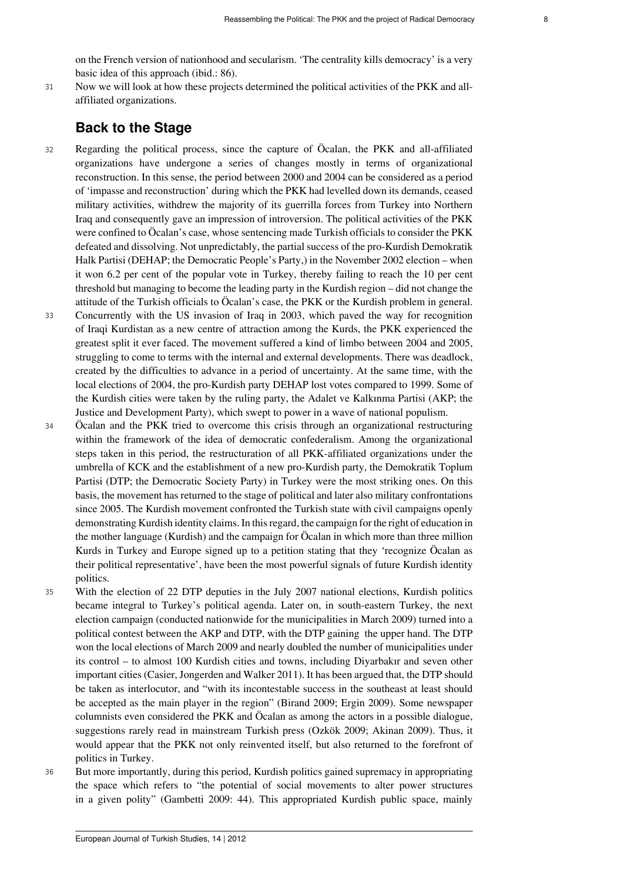on the French version of nationhood and secularism. 'The centrality kills democracy' is a very basic idea of this approach (ibid.: 86).

<sup>31</sup> Now we will look at how these projects determined the political activities of the PKK and allaffiliated organizations.

## **Back to the Stage**

- <sup>32</sup> Regarding the political process, since the capture of Öcalan, the PKK and all-affiliated organizations have undergone a series of changes mostly in terms of organizational reconstruction. In this sense, the period between 2000 and 2004 can be considered as a period of 'impasse and reconstruction' during which the PKK had levelled down its demands, ceased military activities, withdrew the majority of its guerrilla forces from Turkey into Northern Iraq and consequently gave an impression of introversion. The political activities of the PKK were confined to Öcalan's case, whose sentencing made Turkish officials to consider the PKK defeated and dissolving. Not unpredictably, the partial success of the pro-Kurdish Demokratik Halk Partisi (DEHAP; the Democratic People's Party,) in the November 2002 election – when it won 6.2 per cent of the popular vote in Turkey, thereby failing to reach the 10 per cent threshold but managing to become the leading party in the Kurdish region – did not change the attitude of the Turkish officials to Öcalan's case, the PKK or the Kurdish problem in general.
- <sup>33</sup> Concurrently with the US invasion of Iraq in 2003, which paved the way for recognition of Iraqi Kurdistan as a new centre of attraction among the Kurds, the PKK experienced the greatest split it ever faced. The movement suffered a kind of limbo between 2004 and 2005, struggling to come to terms with the internal and external developments. There was deadlock, created by the difficulties to advance in a period of uncertainty. At the same time, with the local elections of 2004, the pro-Kurdish party DEHAP lost votes compared to 1999. Some of the Kurdish cities were taken by the ruling party, the Adalet ve Kalkınma Partisi (AKP; the Justice and Development Party), which swept to power in a wave of national populism.
- <sup>34</sup> Öcalan and the PKK tried to overcome this crisis through an organizational restructuring within the framework of the idea of democratic confederalism. Among the organizational steps taken in this period, the restructuration of all PKK-affiliated organizations under the umbrella of KCK and the establishment of a new pro-Kurdish party, the Demokratik Toplum Partisi (DTP; the Democratic Society Party) in Turkey were the most striking ones. On this basis, the movement has returned to the stage of political and later also military confrontations since 2005. The Kurdish movement confronted the Turkish state with civil campaigns openly demonstrating Kurdish identity claims. In this regard, the campaign for the right of education in the mother language (Kurdish) and the campaign for Öcalan in which more than three million Kurds in Turkey and Europe signed up to a petition stating that they 'recognize Öcalan as their political representative', have been the most powerful signals of future Kurdish identity politics.
- <sup>35</sup> With the election of 22 DTP deputies in the July 2007 national elections, Kurdish politics became integral to Turkey's political agenda. Later on, in south-eastern Turkey, the next election campaign (conducted nationwide for the municipalities in March 2009) turned into a political contest between the AKP and DTP, with the DTP gaining the upper hand. The DTP won the local elections of March 2009 and nearly doubled the number of municipalities under its control – to almost 100 Kurdish cities and towns, including Diyarbakır and seven other important cities (Casier, Jongerden and Walker 2011). It has been argued that, the DTP should be taken as interlocutor, and "with its incontestable success in the southeast at least should be accepted as the main player in the region" (Birand 2009; Ergin 2009). Some newspaper columnists even considered the PKK and Öcalan as among the actors in a possible dialogue, suggestions rarely read in mainstream Turkish press (Ozkök 2009; Akinan 2009). Thus, it would appear that the PKK not only reinvented itself, but also returned to the forefront of politics in Turkey.
- <sup>36</sup> But more importantly, during this period, Kurdish politics gained supremacy in appropriating the space which refers to "the potential of social movements to alter power structures in a given polity" (Gambetti 2009: 44). This appropriated Kurdish public space, mainly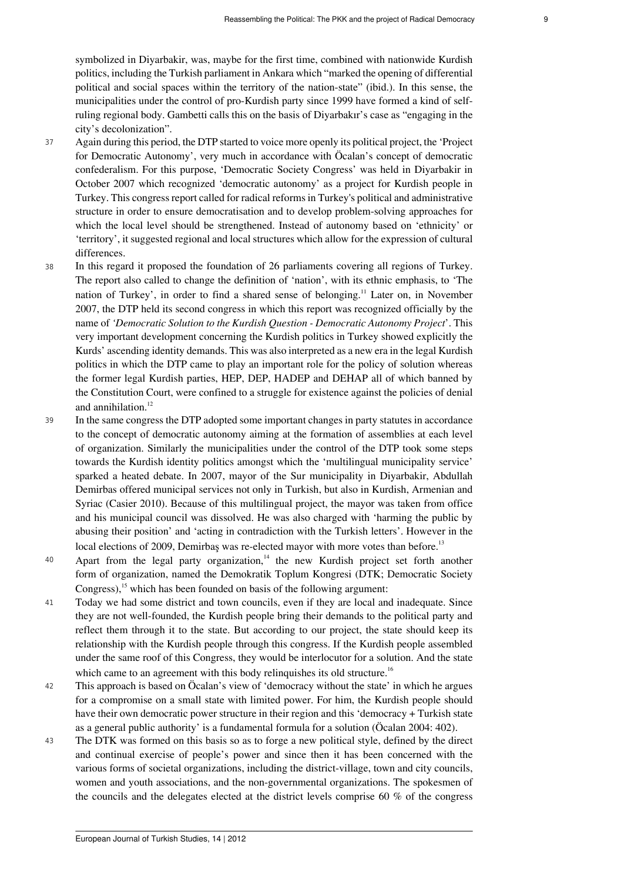symbolized in Diyarbakir, was, maybe for the first time, combined with nationwide Kurdish politics, including the Turkish parliament in Ankara which "marked the opening of differential political and social spaces within the territory of the nation-state" (ibid.). In this sense, the municipalities under the control of pro-Kurdish party since 1999 have formed a kind of selfruling regional body. Gambetti calls this on the basis of Diyarbakır's case as "engaging in the city's decolonization".

- <sup>37</sup> Again during this period, the DTP started to voice more openly its political project, the 'Project for Democratic Autonomy', very much in accordance with Öcalan's concept of democratic confederalism. For this purpose, 'Democratic Society Congress' was held in Diyarbakir in October 2007 which recognized 'democratic autonomy' as a project for Kurdish people in Turkey. This congress report called for radical reforms in Turkey's political and administrative structure in order to ensure democratisation and to develop problem-solving approaches for which the local level should be strengthened. Instead of autonomy based on 'ethnicity' or 'territory', it suggested regional and local structures which allow for the expression of cultural differences.
- <span id="page-8-0"></span><sup>38</sup> In this regard it proposed the foundation of 26 parliaments covering all regions of Turkey. The report also called to change the definition of 'nation', with its ethnic emphasis, to 'The nation of Turkey', in order to find a shared sense of belonging.[11](#page-13-10) Later on, in November 2007, the DTP held its second congress in which this report was recognized officially by the name of *'Democratic Solution to the Kurdish Question - Democratic Autonomy Project*'. This very important development concerning the Kurdish politics in Turkey showed explicitly the Kurds' ascending identity demands. This was also interpreted as a new era in the legal Kurdish politics in which the DTP came to play an important role for the policy of solution whereas the former legal Kurdish parties, HEP, DEP, HADEP and DEHAP all of which banned by the Constitution Court, were confined to a struggle for existence against the policies of denial and annihilation.<sup>[12](#page-13-11)</sup>
- <span id="page-8-1"></span><sup>39</sup> In the same congress the DTP adopted some important changes in party statutes in accordance to the concept of democratic autonomy aiming at the formation of assemblies at each level of organization. Similarly the municipalities under the control of the DTP took some steps towards the Kurdish identity politics amongst which the 'multilingual municipality service' sparked a heated debate. In 2007, mayor of the Sur municipality in Diyarbakir, Abdullah Demirbas offered municipal services not only in Turkish, but also in Kurdish, Armenian and Syriac (Casier 2010). Because of this multilingual project, the mayor was taken from office and his municipal council was dissolved. He was also charged with 'harming the public by abusing their position' and 'acting in contradiction with the Turkish letters'. However in the local elections of 2009, Demirbas was re-elected mayor with more votes than before.<sup>[13](#page-13-12)</sup>
- <span id="page-8-3"></span><span id="page-8-2"></span>40 Apart from the legal party organization,<sup>[14](#page-13-13)</sup> the new Kurdish project set forth another form of organization, named the Demokratik Toplum Kongresi (DTK; Democratic Society Congress),<sup>[15](#page-13-14)</sup> which has been founded on basis of the following argument:
- <span id="page-8-4"></span><sup>41</sup> Today we had some district and town councils, even if they are local and inadequate. Since they are not well-founded, the Kurdish people bring their demands to the political party and reflect them through it to the state. But according to our project, the state should keep its relationship with the Kurdish people through this congress. If the Kurdish people assembled under the same roof of this Congress, they would be interlocutor for a solution. And the state which came to an agreement with this body relinquishes its old structure.<sup>[16](#page-14-0)</sup>
- <span id="page-8-5"></span><sup>42</sup> This approach is based on Öcalan's view of 'democracy without the state' in which he argues for a compromise on a small state with limited power. For him, the Kurdish people should have their own democratic power structure in their region and this 'democracy + Turkish state as a general public authority' is a fundamental formula for a solution (Öcalan 2004: 402).
- <sup>43</sup> The DTK was formed on this basis so as to forge a new political style, defined by the direct and continual exercise of people's power and since then it has been concerned with the various forms of societal organizations, including the district-village, town and city councils, women and youth associations, and the non-governmental organizations. The spokesmen of the councils and the delegates elected at the district levels comprise 60 % of the congress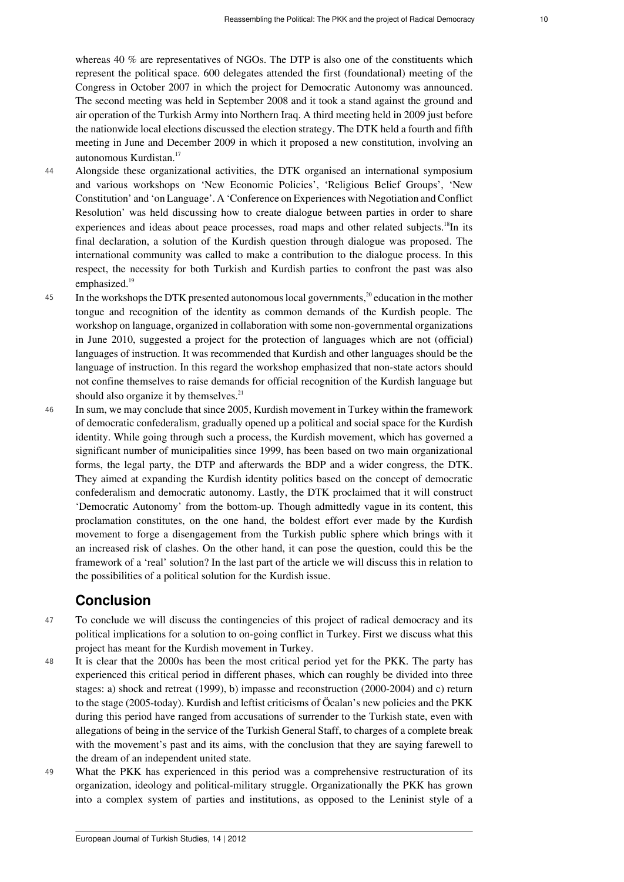whereas 40 % are representatives of NGOs. The DTP is also one of the constituents which represent the political space. 600 delegates attended the first (foundational) meeting of the Congress in October 2007 in which the project for Democratic Autonomy was announced. The second meeting was held in September 2008 and it took a stand against the ground and air operation of the Turkish Army into Northern Iraq. A third meeting held in 2009 just before the nationwide local elections discussed the election strategy. The DTK held a fourth and fifth meeting in June and December 2009 in which it proposed a new constitution, involving an autonomous Kurdistan.[17](#page-14-1)

- <span id="page-9-1"></span><span id="page-9-0"></span><sup>44</sup> Alongside these organizational activities, the DTK organised an international symposium and various workshops on 'New Economic Policies', 'Religious Belief Groups', 'New Constitution' and 'on Language'. A 'Conference on Experiences with Negotiation and Conflict Resolution' was held discussing how to create dialogue between parties in order to share experiences and ideas about peace processes, road maps and other related subjects.<sup>[18](#page-14-2)</sup>In its final declaration, a solution of the Kurdish question through dialogue was proposed. The international community was called to make a contribution to the dialogue process. In this respect, the necessity for both Turkish and Kurdish parties to confront the past was also emphasized.<sup>[19](#page-14-3)</sup>
- <span id="page-9-3"></span><span id="page-9-2"></span><sup>45</sup> In the workshops the DTK presented autonomous local governments,<sup>[20](#page-14-4)</sup> education in the mother tongue and recognition of the identity as common demands of the Kurdish people. The workshop on language, organized in collaboration with some non-governmental organizations in June 2010, suggested a project for the protection of languages which are not (official) languages of instruction. It was recommended that Kurdish and other languages should be the language of instruction. In this regard the workshop emphasized that non-state actors should not confine themselves to raise demands for official recognition of the Kurdish language but should also organize it by themselves. $21$
- <span id="page-9-4"></span><sup>46</sup> In sum, we may conclude that since 2005, Kurdish movement in Turkey within the framework of democratic confederalism, gradually opened up a political and social space for the Kurdish identity. While going through such a process, the Kurdish movement, which has governed a significant number of municipalities since 1999, has been based on two main organizational forms, the legal party, the DTP and afterwards the BDP and a wider congress, the DTK. They aimed at expanding the Kurdish identity politics based on the concept of democratic confederalism and democratic autonomy. Lastly, the DTK proclaimed that it will construct 'Democratic Autonomy' from the bottom-up. Though admittedly vague in its content, this proclamation constitutes, on the one hand, the boldest effort ever made by the Kurdish movement to forge a disengagement from the Turkish public sphere which brings with it an increased risk of clashes. On the other hand, it can pose the question, could this be the framework of a 'real' solution? In the last part of the article we will discuss this in relation to the possibilities of a political solution for the Kurdish issue.

## **Conclusion**

- <sup>47</sup> To conclude we will discuss the contingencies of this project of radical democracy and its political implications for a solution to on-going conflict in Turkey. First we discuss what this project has meant for the Kurdish movement in Turkey.
- <sup>48</sup> It is clear that the 2000s has been the most critical period yet for the PKK. The party has experienced this critical period in different phases, which can roughly be divided into three stages: a) shock and retreat (1999), b) impasse and reconstruction (2000-2004) and c) return to the stage (2005-today). Kurdish and leftist criticisms of Öcalan's new policies and the PKK during this period have ranged from accusations of surrender to the Turkish state, even with allegations of being in the service of the Turkish General Staff, to charges of a complete break with the movement's past and its aims, with the conclusion that they are saying farewell to the dream of an independent united state.
- <sup>49</sup> What the PKK has experienced in this period was a comprehensive restructuration of its organization, ideology and political-military struggle. Organizationally the PKK has grown into a complex system of parties and institutions, as opposed to the Leninist style of a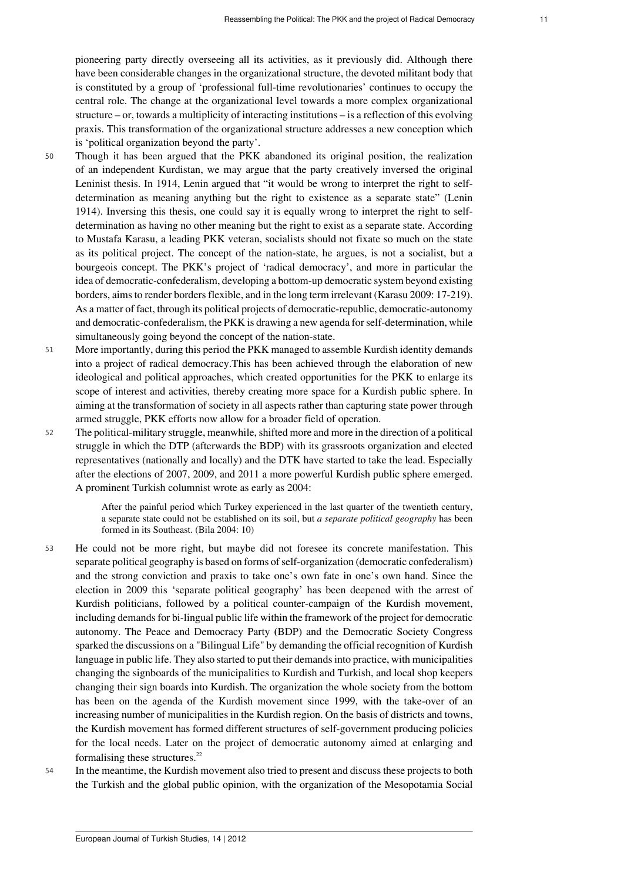pioneering party directly overseeing all its activities, as it previously did. Although there have been considerable changes in the organizational structure, the devoted militant body that is constituted by a group of 'professional full-time revolutionaries' continues to occupy the central role. The change at the organizational level towards a more complex organizational structure – or, towards a multiplicity of interacting institutions – is a reflection of this evolving praxis. This transformation of the organizational structure addresses a new conception which is 'political organization beyond the party'.

- <sup>50</sup> Though it has been argued that the PKK abandoned its original position, the realization of an independent Kurdistan, we may argue that the party creatively inversed the original Leninist thesis. In 1914, Lenin argued that "it would be wrong to interpret the right to selfdetermination as meaning anything but the right to existence as a separate state" ([Lenin](http://www.marxists.org/archive/lenin/works/1914/self-det/ch01.htm) [1914](http://www.marxists.org/archive/lenin/works/1914/self-det/ch01.htm)). Inversing this thesis, one could say it is equally wrong to interpret the right to selfdetermination as having no other meaning but the right to exist as a separate state. According to Mustafa Karasu, a leading PKK veteran, socialists should not fixate so much on the state as its political project. The concept of the nation-state, he argues, is not a socialist, but a bourgeois concept. The PKK's project of 'radical democracy', and more in particular the idea of democratic-confederalism, developing a bottom-up democratic system beyond existing borders, aims to render borders flexible, and in the long term irrelevant (Karasu 2009: 17-219). As a matter of fact, through its political projects of democratic-republic, democratic-autonomy and democratic-confederalism, the PKK is drawing a new agenda for self-determination, while simultaneously going beyond the concept of the nation-state.
- <sup>51</sup> More importantly, during this period the PKK managed to assemble Kurdish identity demands into a project of radical democracy.This has been achieved through the elaboration of new ideological and political approaches, which created opportunities for the PKK to enlarge its scope of interest and activities, thereby creating more space for a Kurdish public sphere. In aiming at the transformation of society in all aspects rather than capturing state power through armed struggle, PKK efforts now allow for a broader field of operation.
- <sup>52</sup> The political-military struggle, meanwhile, shifted more and more in the direction of a political struggle in which the DTP (afterwards the BDP) with its grassroots organization and elected representatives (nationally and locally) and the DTK have started to take the lead. Especially after the elections of 2007, 2009, and 2011 a more powerful Kurdish public sphere emerged. A prominent Turkish columnist wrote as early as 2004:

After the painful period which Turkey experienced in the last quarter of the twentieth century, a separate state could not be established on its soil, but *a separate political geography* has been formed in its Southeast. (Bila 2004: 10)

- <sup>53</sup> He could not be more right, but maybe did not foresee its concrete manifestation. This separate political geography is based on forms of self-organization (democratic confederalism) and the strong conviction and praxis to take one's own fate in one's own hand. Since the election in 2009 this 'separate political geography' has been deepened with the arrest of Kurdish politicians, followed by a political counter-campaign of the Kurdish movement, including demands for bi-lingual public life within the framework of the project for democratic autonomy. The Peace and Democracy Party **(**BDP) and the Democratic Society Congress sparked the discussions on a "Bilingual Life" by demanding the official recognition of Kurdish language in public life. They also started to put their demands into practice, with municipalities changing the signboards of the municipalities to Kurdish and Turkish, and local shop keepers changing their sign boards into Kurdish. The organization the whole society from the bottom has been on the agenda of the Kurdish movement since 1999, with the take-over of an increasing number of municipalities in the Kurdish region. On the basis of districts and towns, the Kurdish movement has formed different structures of self-government producing policies for the local needs. Later on the project of democratic autonomy aimed at enlarging and formalising these structures.<sup>[22](#page-14-6)</sup>
- <span id="page-10-0"></span><sup>54</sup> In the meantime, the Kurdish movement also tried to present and discuss these projects to both the Turkish and the global public opinion, with the organization of the Mesopotamia Social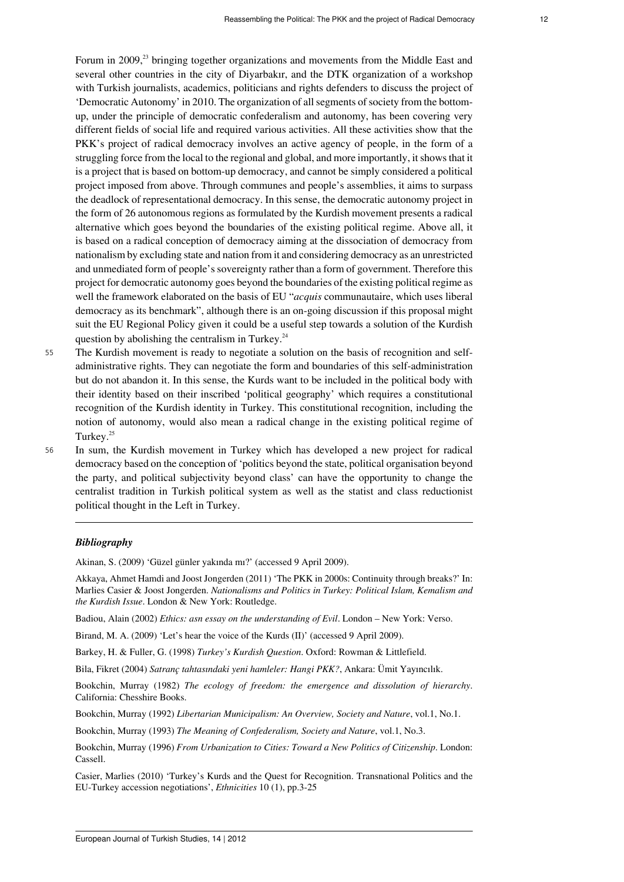<span id="page-11-0"></span>Forum in 2009,<sup>[23](#page-14-7)</sup> bringing together organizations and movements from the Middle East and several other countries in the city of Diyarbakır, and the DTK organization of a workshop with Turkish journalists, academics, politicians and rights defenders to discuss the project of 'Democratic Autonomy' in 2010. The organization of all segments of society from the bottomup, under the principle of democratic confederalism and autonomy, has been covering very different fields of social life and required various activities. All these activities show that the PKK's project of radical democracy involves an active agency of people, in the form of a struggling force from the local to the regional and global, and more importantly, it shows that it is a project that is based on bottom-up democracy, and cannot be simply considered a political project imposed from above. Through communes and people's assemblies, it aims to surpass the deadlock of representational democracy. In this sense, the democratic autonomy project in the form of 26 autonomous regions as formulated by the Kurdish movement presents a radical alternative which goes beyond the boundaries of the existing political regime. Above all, it is based on a radical conception of democracy aiming at the dissociation of democracy from nationalism by excluding state and nation from it and considering democracy as an unrestricted and unmediated form of people's sovereignty rather than a form of government. Therefore this project for democratic autonomy goes beyond the boundaries of the existing political regime as well the framework elaborated on the basis of EU "*acquis* communautaire, which uses liberal democracy as its benchmark", although there is an on-going discussion if this proposal might suit the EU Regional Policy given it could be a useful step towards a solution of the Kurdish question by abolishing the centralism in Turkey. $24$ 

- <span id="page-11-1"></span><sup>55</sup> The Kurdish movement is ready to negotiate a solution on the basis of recognition and selfadministrative rights. They can negotiate the form and boundaries of this self-administration but do not abandon it. In this sense, the Kurds want to be included in the political body with their identity based on their inscribed 'political geography' which requires a constitutional recognition of the Kurdish identity in Turkey. This constitutional recognition, including the notion of autonomy, would also mean a radical change in the existing political regime of Turkey.<sup>[25](#page-14-9)</sup>
- 

<span id="page-11-2"></span><sup>56</sup> In sum, the Kurdish movement in Turkey which has developed a new project for radical democracy based on the conception of 'politics beyond the state, political organisation beyond the party, and political subjectivity beyond class' can have the opportunity to change the centralist tradition in Turkish political system as well as the statist and class reductionist political thought in the Left in Turkey.

#### *Bibliography*

Akinan, S. (2009) 'Güzel günler yakında mı?' (accessed 9 April 2009).

Akkaya, Ahmet Hamdi and Joost Jongerden (2011) 'The PKK in 2000s: Continuity through breaks?' In: Marlies Casier & Joost Jongerden. *Nationalisms and Politics in Turkey: Political Islam, Kemalism and the Kurdish Issue*. London & New York: Routledge.

Badiou, Alain (2002) *Ethics: asn essay on the understanding of Evil*. London – New York: Verso.

Birand, M. A. (2009) 'Let's hear the voice of the Kurds (II)' (accessed 9 April 2009).

Barkey, H. & Fuller, G. (1998) *Turkey's Kurdish Question*. Oxford: Rowman & Littlefield.

Bila, Fikret (2004) *Satranç tahtasındaki yeni hamleler: Hangi PKK?*, Ankara: Ümit Yayıncılık.

Bookchin, Murray (1982) *The ecology of freedom: the emergence and dissolution of hierarchy*. California: Chesshire Books.

Bookchin, Murray (1992) *Libertarian Municipalism: An Overview, Society and Nature*, vol.1, No.1.

Bookchin, Murray (1993) *The Meaning of Confederalism, Society and Nature*, vol.1, No.3.

Bookchin, Murray (1996) *From Urbanization to Cities: Toward a New Politics of Citizenship*. London: Cassell.

Casier, Marlies (2010) 'Turkey's Kurds and the Quest for Recognition. Transnational Politics and the EU-Turkey accession negotiations', *Ethnicities* 10 (1), pp.3-25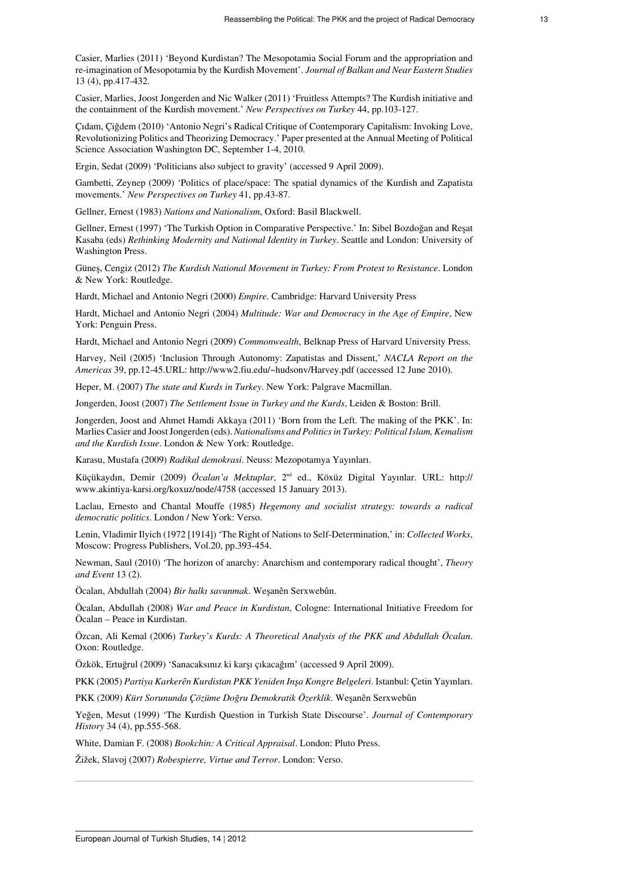Casier, Marlies (2011) 'Beyond Kurdistan? The Mesopotamia Social Forum and the appropriation and re-imagination of Mesopotamia by the Kurdish Movement'. *Journal of Balkan and Near Eastern Studies* 13 (4), pp.417-432.

Casier, Marlies, Joost Jongerden and Nic Walker (2011) 'Fruitless Attempts? The Kurdish initiative and the containment of the Kurdish movement.' *New Perspectives on Turkey* 44, pp.103-127.

Çıdam, Çiğdem (2010) 'Antonio Negri's Radical Critique of Contemporary Capitalism: Invoking Love, Revolutionizing Politics and Theorizing Democracy.' Paper presented at the Annual Meeting of Political Science Association Washington DC, September 1-4, 2010.

Ergin, Sedat (2009) '[Politicians also subject to gravity](http://arama.hurriyet.com.tr/arsivnews.aspx?id=11326033)' (accessed 9 April 2009).

Gambetti, Zeynep (2009) 'Politics of place/space: The spatial dynamics of the Kurdish and Zapatista movements.' *New Perspectives on Turkey* 41, pp.43-87.

Gellner, Ernest (1983) *Nations and Nationalism*, Oxford: Basil Blackwell.

Gellner, Ernest (1997) 'The Turkish Option in Comparative Perspective.' In: Sibel Bozdoğan and Reşat Kasaba (eds) *Rethinking Modernity and National Identity in Turkey*. Seattle and London: University of Washington Press.

Güneş, Cengiz (2012) *The Kurdish National Movement in Turkey: From Protest to Resistance*. London & New York: Routledge.

Hardt, Michael and Antonio Negri (2000) *Empire*. Cambridge: Harvard University Press

Hardt, Michael and Antonio Negri (2004) *Multitude: War and Democracy in the Age of Empire*, New York: Penguin Press.

Hardt, Michael and Antonio Negri (2009) *Commonwealth*, Belknap Press of Harvard University Press.

Harvey, Neil (2005) 'Inclusion Through Autonomy: Zapatistas and Dissent,' *NACLA Report on the Americas* 39, pp.12-45.URL:<http://www2.fiu.edu/~hudsonv/Harvey.pdf> (accessed 12 June 2010).

Heper, M. (2007) *The state and Kurds in Turkey*. New York: Palgrave Macmillan.

Jongerden, Joost (2007) *The Settlement Issue in Turkey and the Kurds*, Leiden & Boston: Brill.

Jongerden, Joost and Ahmet Hamdi Akkaya (2011) 'Born from the Left. The making of the PKK'. In: Marlies Casier and Joost Jongerden (eds). *Nationalisms and Politics in Turkey: Political Islam, Kemalism and the Kurdish Issue*. London & New York: Routledge.

Karasu, Mustafa (2009) *Radikal demokrasi*. Neuss: Mezopotamya Yayınları.

Küçükaydın, Demir (2009) *Öcalan'a Mektuplar*, 2nd ed., Köxüz Digital Yayınlar. URL: [http://](http://www.akintiya-karsi.org/koxuz/node/4758) [www.akintiya-karsi.org/koxuz/node/4758](http://www.akintiya-karsi.org/koxuz/node/4758) (accessed 15 January 2013).

Laclau, Ernesto and Chantal Mouffe (1985) *Hegemony and socialist strategy: towards a radical democratic politics*. London / New York: Verso.

Lenin, Vladimir Ilyich (1972 [1914]) 'The Right of Nations to Self-Determination,' in: *Collected Works*, Moscow: Progress Publishers, Vol.20, pp.393-454.

Newman, Saul (2010) 'The horizon of anarchy: Anarchism and contemporary radical thought', *Theory and Event* 13 (2).

Öcalan, Abdullah (2004) *Bir halkı savunmak*. Weşanên Serxwebûn.

Öcalan, Abdullah (2008) *War and Peace in Kurdistan*, Cologne: International Initiative Freedom for Öcalan – Peace in Kurdistan.

Özcan, Ali Kemal (2006) *Turkey's Kurds: A Theoretical Analysis of the PKK and Abdullah Öcalan*. Oxon: Routledge.

Özkök, Ertuğrul (2009) '[Sanacaksınız ki karşı çıkacağım](http://hurarsiv.hurriyet.com.tr/goster/haber.aspx?id=11227167&yazarid=10&tarih=2009?03?17)' (accessed 9 April 2009).

PKK (2005) *Partiya Karkerên Kurdistan PKK Yeniden Inşa Kongre Belgeleri*. Istanbul: Çetin Yayınları.

PKK (2009) *Kürt Sorununda Çözüme Doğru Demokratik Özerklik*. Weşanên Serxwebûn

Yeğen, Mesut (1999) 'The Kurdish Question in Turkish State Discourse'. *Journal of Contemporary History* 34 (4), pp.555-568.

White, Damian F. (2008) *Bookchin: A Critical Appraisal*. London: Pluto Press.

Žižek, Slavoj (2007) *Robespierre, Virtue and Terror*. London: Verso.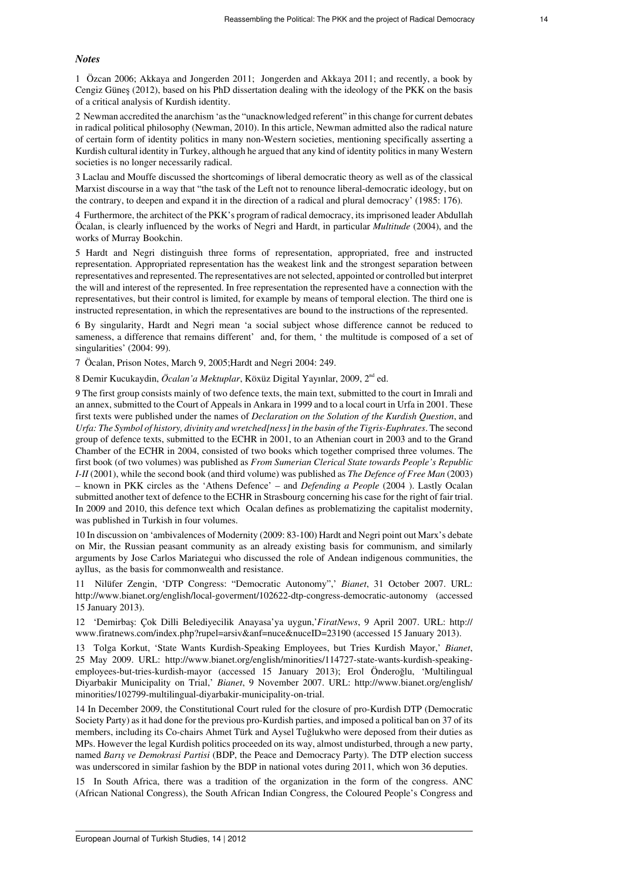#### *Notes*

<span id="page-13-0"></span>[1](#page-1-0)  Özcan 2006; Akkaya and Jongerden 2011; Jongerden and Akkaya 2011; and recently, a book by Cengiz Güneş (2012), based on his PhD dissertation dealing with the ideology of the PKK on the basis of a critical analysis of Kurdish identity.

<span id="page-13-1"></span>[2](#page-1-1)  Newman accredited the anarchism 'as the "unacknowledged referent" in this change for current debates in radical political philosophy (Newman, 2010). In this article, Newman admitted also the radical nature of certain form of identity politics in many non-Western societies, mentioning specifically asserting a Kurdish cultural identity in Turkey, although he argued that any kind of identity politics in many Western societies is no longer necessarily radical.

<span id="page-13-2"></span>[3](#page-2-0) Laclau and Mouffe discussed the shortcomings of liberal democratic theory as well as of the classical Marxist discourse in a way that "the task of the Left not to renounce liberal-democratic ideology, but on the contrary, to deepen and expand it in the direction of a radical and plural democracy' (1985: 176).

<span id="page-13-3"></span>[4](#page-2-1)  Furthermore, the architect of the PKK's program of radical democracy, its imprisoned leader Abdullah Öcalan, is clearly influenced by the works of Negri and Hardt, in particular *Multitude* (2004), and the works of Murray Bookchin.

<span id="page-13-4"></span>[5](#page-2-2) Hardt and Negri distinguish three forms of representation, appropriated, free and instructed representation. Appropriated representation has the weakest link and the strongest separation between representatives and represented. The representatives are not selected, appointed or controlled but interpret the will and interest of the represented. In free representation the represented have a connection with the representatives, but their control is limited, for example by means of temporal election. The third one is instructed representation, in which the representatives are bound to the instructions of the represented.

<span id="page-13-5"></span>[6](#page-2-3) By singularity, Hardt and Negri mean 'a social subject whose difference cannot be reduced to sameness, a difference that remains different' and, for them, ' the multitude is composed of a set of singularities' (2004: 99).

<span id="page-13-6"></span>[7](#page-3-0) Öcalan, Prison Notes, March 9, 2005;Hardt and Negri 2004: 249.

<span id="page-13-7"></span>[8](#page-4-0) Demir Kucukaydin, [Öcalan'a Mektuplar](http://www.akintiya-karsi.org/koxuz/node/4758), Köxüz Digital Yayınlar, 2009, 2<sup>nd</sup> ed.

<span id="page-13-8"></span>[9](#page-4-1) The first group consists mainly of two defence texts, the main text, submitted to the court in Imrali and an annex, submitted to the Court of Appeals in Ankara in 1999 and to a local court in Urfa in 2001. These first texts were published under the names of *Declaration on the Solution of the Kurdish Question*, and *Urfa: The Symbol of history, divinity and wretched[ness] in the basin of the Tigris-Euphrates*. The second group of defence texts, submitted to the ECHR in 2001, to an Athenian court in 2003 and to the Grand Chamber of the ECHR in 2004, consisted of two books which together comprised three volumes. The first book (of two volumes) was published as *From Sumerian Clerical State towards People's Republic I-II* (2001), while the second book (and third volume) was published as *The Defence of Free Man* (2003) – known in PKK circles as the 'Athens Defence' – and *Defending a People* (2004 ). Lastly Ocalan submitted another text of defence to the ECHR in Strasbourg concerning his case for the right of fair trial. In 2009 and 2010, this defence text which Ocalan defines as problematizing the capitalist modernity, was published in Turkish in four volumes.

<span id="page-13-9"></span>[10](#page-4-2) In discussion on 'ambivalences of Modernity (2009: 83-100) Hardt and Negri point out Marx's debate on Mir, the Russian peasant community as an already existing basis for communism, and similarly arguments by Jose Carlos Mariategui who discussed the role of Andean indigenous communities, the ayllus, as the basis for commonwealth and resistance.

<span id="page-13-10"></span>[11](#page-8-0) Nilüfer Zengin, 'DTP Congress: ["Democratic Autonomy](http://www.bianet.org/english/local-goverment/102622-dtp-congress-democratic-autonomy)",' *Bianet*, 31 October 2007. URL: <http://www.bianet.org/english/local-goverment/102622-dtp-congress-democratic-autonomy>(accessed 15 January 2013).

<span id="page-13-11"></span>[12](#page-8-1) 'Demirbaş: Çok Dilli Belediyecilik Anayasa'ya uygun,'*FiratNews*, 9 April 2007. URL: [http://](http://www.firatnews.com/index.php?rupel=arsiv&anf=nuce&nuceID=23190) [www.firatnews.com/index.php?rupel=arsiv&anf=nuce&nuceID=23190](http://www.firatnews.com/index.php?rupel=arsiv&anf=nuce&nuceID=23190) (accessed 15 January 2013).

<span id="page-13-12"></span>[13](#page-8-2) Tolga Korkut, 'State Wants Kurdish-Speaking Employees, but Tries Kurdish Mayor,' *Bianet*, 25 May 2009. URL: [http://www.bianet.org/english/minorities/114727-state-wants-kurdish-speaking](http://www.bianet.org/english/minorities/114727-state-wants-kurdish-speaking-employees-but-tries-kurdish-mayor)[employees-but-tries-kurdish-mayor](http://www.bianet.org/english/minorities/114727-state-wants-kurdish-speaking-employees-but-tries-kurdish-mayor) (accessed 15 January 2013); Erol Önderoğlu, 'Multilingual Diyarbakir Municipality on Trial,' *Bianet*, 9 November 2007. URL: [http://www.bianet.org/english/](http://www.bianet.org/english/minorities/102799-multilingual-diyarbakir-municipality-on-trial) [minorities/102799-multilingual-diyarbakir-municipality-on-trial.](http://www.bianet.org/english/minorities/102799-multilingual-diyarbakir-municipality-on-trial)

<span id="page-13-13"></span>[14](#page-8-3) In December 2009, the Constitutional Court ruled for the closure of pro-Kurdish DTP (Democratic Society Party) as it had done for the previous pro-Kurdish parties, and imposed a political ban on 37 of its members, including its Co-chairs Ahmet Türk and Aysel Tuğlukwho were deposed from their duties as MPs. However the legal Kurdish politics proceeded on its way, almost undisturbed, through a new party, named *Barış ve Demokrasi Partisi* (BDP, the Peace and Democracy Party). The DTP election success was underscored in similar fashion by the BDP in national votes during 2011, which won 36 deputies.

<span id="page-13-14"></span>[15](#page-8-4) In South Africa, there was a tradition of the organization in the form of the congress. ANC (African National Congress), the South African Indian Congress, the Coloured People's Congress and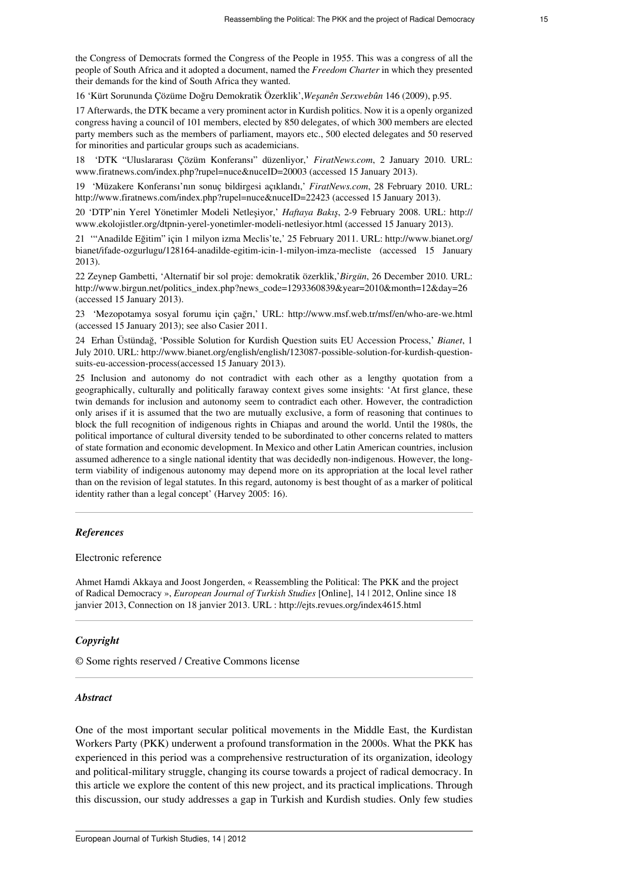the Congress of Democrats formed the Congress of the People in 1955. This was a congress of all the people of South Africa and it adopted a document, named the *[Freedom Charter](http://www.anc.org.za/ancdocs/history/campaigns/cop/index.html)* in which they presented their demands for the kind of South Africa they wanted.

<span id="page-14-0"></span>[16](#page-8-5) 'Kürt Sorununda Çözüme Doğru Demokratik Özerklik',*Weşanên Serxwebûn* 146 (2009), p.95.

<span id="page-14-1"></span>[17](#page-9-0) Afterwards, the DTK became a very prominent actor in Kurdish politics. Now it is a openly organized congress having a council of 101 members, elected by 850 delegates, of which 300 members are elected party members such as the members of parliament, mayors etc., 500 elected delegates and 50 reserved for minorities and particular groups such as academicians.

<span id="page-14-2"></span>[18](#page-9-1) 'DTK "Uluslararası Çözüm Konferansı" düzenliyor,' *FiratNews.com*, 2 January 2010. URL: [www.firatnews.com/index.php?rupel=nuce&nuceID=20003](http://www.firatnews.com/index.php?rupel=nuce&nuceID=20003) (accessed 15 January 2013).

<span id="page-14-3"></span>[19](#page-9-2) 'Müzakere Konferansı'nın sonuç bildirgesi açıklandı,' *FiratNews.com*, 28 February 2010. URL: <http://www.firatnews.com/index.php?rupel=nuce&nuceID=22423> (accessed 15 January 2013).

<span id="page-14-4"></span>[20](#page-9-3) 'DTP'nin Yerel Yönetimler Modeli Netleşiyor,' *Haftaya Bakış*, 2-9 February 2008. URL: [http://](http://www.ekolojistler.org/dtpnin-yerel-yonetimler-modeli-netlesiyor.html) [www.ekolojistler.org/dtpnin-yerel-yonetimler-modeli-netlesiyor.html](http://www.ekolojistler.org/dtpnin-yerel-yonetimler-modeli-netlesiyor.html) (accessed 15 January 2013).

<span id="page-14-5"></span>[21](#page-9-4) '"Anadilde Eğitim" için 1 milyon izma Meclis'te,' 25 February 2011. URL: [http://www.bianet.org/](http://www.bianet.org/bianet/ifade-ozgurlugu/128164-anadilde-egitim-icin-1-milyon-imza-mecliste) [bianet/ifade-ozgurlugu/128164-anadilde-egitim-icin-1-milyon-imza-mecliste](http://www.bianet.org/bianet/ifade-ozgurlugu/128164-anadilde-egitim-icin-1-milyon-imza-mecliste) (accessed 15 January 2013).

<span id="page-14-6"></span>[22](#page-10-0) Zeynep Gambetti, 'Alternatif bir sol proje: demokratik özerklik,'*Birgün*, 26 December 2010. URL: [http://www.birgun.net/politics\\_index.php?news\\_code=1293360839&year=2010&month=12&day=26](http://www.birgun.net/politics_index.php?news_code=1293360839&year=2010&month=12&day=26) (accessed 15 January 2013).

<span id="page-14-7"></span>[23](#page-11-0) 'Mezopotamya sosyal forumu için çağrı,' URL: <http://www.msf.web.tr/msf/en/who-are-we.html> (accessed 15 January 2013); see also Casier 2011.

<span id="page-14-8"></span>[24](#page-11-1) Erhan Üstündağ, 'Possible Solution for Kurdish Question suits EU Accession Process,' *Bianet*, 1 July 2010. URL: [http://www.bianet.org/english/english/123087-possible-solution-for-kurdish-question](http://www.bianet.org/english/english/123087-possible-solution-for-kurdish-question-suits-eu-accession-process)[suits-eu-accession-process](http://www.bianet.org/english/english/123087-possible-solution-for-kurdish-question-suits-eu-accession-process)(accessed 15 January 2013).

<span id="page-14-9"></span>[25](#page-11-2) Inclusion and autonomy do not contradict with each other as a lengthy quotation from a geographically, culturally and politically faraway context gives some insights: 'At first glance, these twin demands for inclusion and autonomy seem to contradict each other. However, the contradiction only arises if it is assumed that the two are mutually exclusive, a form of reasoning that continues to block the full recognition of indigenous rights in Chiapas and around the world. Until the 1980s, the political importance of cultural diversity tended to be subordinated to other concerns related to matters of state formation and economic development. In Mexico and other Latin American countries, inclusion assumed adherence to a single national identity that was decidedly non-indigenous. However, the longterm viability of indigenous autonomy may depend more on its appropriation at the local level rather than on the revision of legal statutes. In this regard, autonomy is best thought of as a marker of political identity rather than a legal concept' (Harvey 2005: 16).

## *References*

#### Electronic reference

Ahmet Hamdi Akkaya and Joost Jongerden, « Reassembling the Political: The PKK and the project of Radical Democracy », *European Journal of Turkish Studies* [Online], 14 | 2012, Online since 18 janvier 2013, Connection on 18 janvier 2013. URL : http://ejts.revues.org/index4615.html

### *Copyright*

© Some rights reserved / Creative Commons license

#### *Abstract*

One of the most important secular political movements in the Middle East, the Kurdistan Workers Party (PKK) underwent a profound transformation in the 2000s. What the PKK has experienced in this period was a comprehensive restructuration of its organization, ideology and political-military struggle, changing its course towards a project of radical democracy. In this article we explore the content of this new project, and its practical implications. Through this discussion, our study addresses a gap in Turkish and Kurdish studies. Only few studies